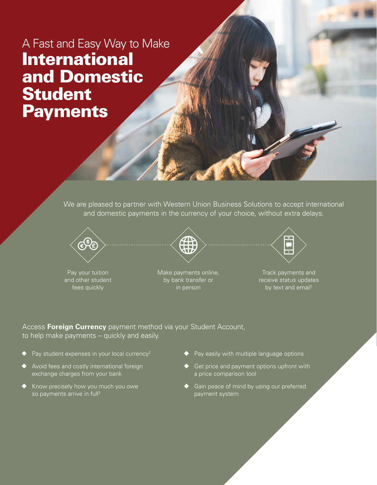## A Fast and Easy Way to Make International and Domestic Student **Payments**

We are pleased to partner with Western Union Business Solutions to accept international and domestic payments in the currency of your choice, without extra delays.



Pay your tuition and other student fees quickly



Make payments online, by bank transfer or in person



Track payments and receive status updates by text and email<sup>1</sup>

Access **Foreign Currency** payment method via your Student Account, to help make payments – quickly and easily.

- Pay student expenses in your local currency<sup>2</sup>
- Avoid fees and costly international foreign exchange charges from your bank
- Know precisely how you much you owe so payments arrive in full<sup>3</sup>
- $\blacklozenge$  Pay easily with multiple language options
- ◆ Get price and payment options upfront with a price comparison tool
- ◆ Gain peace of mind by using our preferred payment system